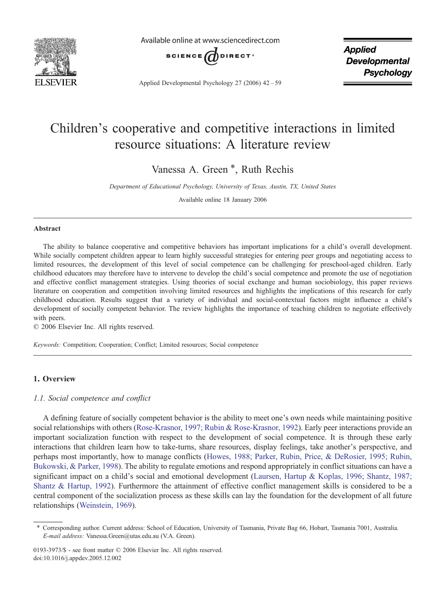

Available online at www.sciencedirect.com



Applied Developmental Psychology 27 (2006) 42–59

**Applied Developmental Psychology** 

# Children's cooperative and competitive interactions in limited resource situations: A literature review

Vanessa A. Green  $*$ , Ruth Rechis

Department of Educational Psychology, University of Texas, Austin, TX, United States

Available online 18 January 2006

## Abstract

The ability to balance cooperative and competitive behaviors has important implications for a child's overall development. While socially competent children appear to learn highly successful strategies for entering peer groups and negotiating access to limited resources, the development of this level of social competence can be challenging for preschool-aged children. Early childhood educators may therefore have to intervene to develop the child's social competence and promote the use of negotiation and effective conflict management strategies. Using theories of social exchange and human sociobiology, this paper reviews literature on cooperation and competition involving limited resources and highlights the implications of this research for early childhood education. Results suggest that a variety of individual and social-contextual factors might influence a child's development of socially competent behavior. The review highlights the importance of teaching children to negotiate effectively with peers.

© 2006 Elsevier Inc. All rights reserved.

Keywords: Competition; Cooperation; Conflict; Limited resources; Social competence

# 1. Overview

## 1.1. Social competence and conflict

A defining feature of socially competent behavior is the ability to meet one's own needs while maintaining positive social relationships with others ([Rose-Krasnor, 1997; Rubin & Rose-Krasnor, 1992](#page-16-0)). Early peer interactions provide an important socialization function with respect to the development of social competence. It is through these early interactions that children learn how to take-turns, share resources, display feelings, take another's perspective, and perhaps most importantly, how to manage conflicts ([Howes, 1988; Parker, Rubin, Price, & DeRosier, 1995; Rubin,](#page-15-0) [Bukowski, & Parker, 1998\)](#page-15-0). The ability to regulate emotions and respond appropriately in conflict situations can have a significant impact on a child's social and emotional development [\(Laursen, Hartup & Koplas, 1996; Shantz, 1987;](#page-15-0) [Shantz & Hartup, 1992\)](#page-15-0). Furthermore the attainment of effective conflict management skills is considered to be a central component of the socialization process as these skills can lay the foundation for the development of all future relationships ([Weinstein, 1969\)](#page-17-0).

<sup>⁎</sup> Corresponding author. Current address: School of Education, University of Tasmania, Private Bag 66, Hobart, Tasmania 7001, Australia. E-mail address: Vanessa.Green@utas.edu.au (V.A. Green).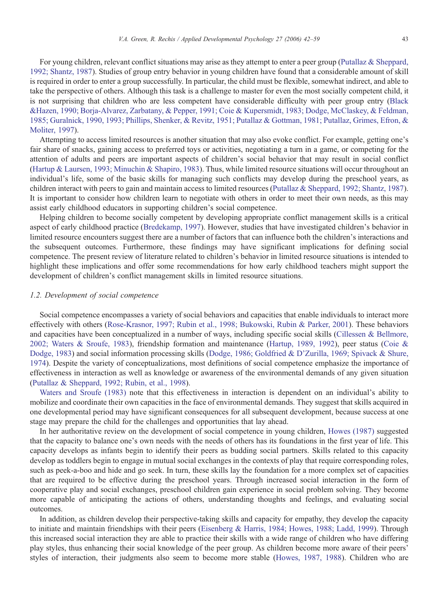For young children, relevant conflict situations may arise as they attempt to enter a peer group ([Putallaz & Sheppard,](#page-16-0) [1992; Shantz, 1987\)](#page-16-0). Studies of group entry behavior in young children have found that a considerable amount of skill is required in order to enter a group successfully. In particular, the child must be flexible, somewhat indirect, and able to take the perspective of others. Although this task is a challenge to master for even the most socially competent child, it is not surprising that children who are less competent have considerable difficulty with peer group entry ([Black](#page-13-0) [&Hazen, 1990; Borja-Alvarez, Zarbatany, & Pepper, 1991; Coie & Kupersmidt, 1983; Dodge, McClaskey, & Feldman,](#page-13-0) [1985; Guralnick, 1990, 1993; Phillips, Shenker, & Revitz, 1951; Putallaz & Gottman, 1981; Putallaz, Grimes, Efron, &](#page-13-0) [Moliter, 1997\)](#page-13-0).

Attempting to access limited resources is another situation that may also evoke conflict. For example, getting one's fair share of snacks, gaining access to preferred toys or activities, negotiating a turn in a game, or competing for the attention of adults and peers are important aspects of children's social behavior that may result in social conflict [\(Hartup & Laursen, 1993; Minuchin & Shapiro, 1983\)](#page-15-0). Thus, while limited resource situations will occur throughout an individual's life, some of the basic skills for managing such conflicts may develop during the preschool years, as children interact with peers to gain and maintain access to limited resources ([Putallaz & Sheppard, 1992; Shantz, 1987](#page-16-0)). It is important to consider how children learn to negotiate with others in order to meet their own needs, as this may assist early childhood educators in supporting children's social competence.

Helping children to become socially competent by developing appropriate conflict management skills is a critical aspect of early childhood practice ([Bredekamp, 1997](#page-14-0)). However, studies that have investigated children's behavior in limited resource encounters suggest there are a number of factors that can influence both the children's interactions and the subsequent outcomes. Furthermore, these findings may have significant implications for defining social competence. The present review of literature related to children's behavior in limited resource situations is intended to highlight these implications and offer some recommendations for how early childhood teachers might support the development of children's conflict management skills in limited resource situations.

# 1.2. Development of social competence

Social competence encompasses a variety of social behaviors and capacities that enable individuals to interact more effectively with others [\(Rose-Krasnor, 1997; Rubin et al., 1998; Bukowski, Rubin & Parker, 2001\)](#page-16-0). These behaviors and capacities have been conceptualized in a number of ways, including specific social skills [\(Cillessen & Bellmore,](#page-14-0) [2002; Waters & Sroufe, 1983](#page-14-0)), friendship formation and maintenance ([Hartup, 1989, 1992](#page-15-0)), peer status ([Coie &](#page-14-0) [Dodge, 1983](#page-14-0)) and social information processing skills [\(Dodge, 1986; Goldfried & D'Zurilla, 1969; Spivack & Shure,](#page-14-0) [1974\)](#page-14-0). Despite the variety of conceptualizations, most definitions of social competence emphasize the importance of effectiveness in interaction as well as knowledge or awareness of the environmental demands of any given situation [\(Putallaz & Sheppard, 1992; Rubin, et al., 1998\)](#page-16-0).

[Waters and Sroufe \(1983\)](#page-17-0) note that this effectiveness in interaction is dependent on an individual's ability to mobilize and coordinate their own capacities in the face of environmental demands. They suggest that skills acquired in one developmental period may have significant consequences for all subsequent development, because success at one stage may prepare the child for the challenges and opportunities that lay ahead.

In her authoritative review on the development of social competence in young children, [Howes \(1987\)](#page-15-0) suggested that the capacity to balance one's own needs with the needs of others has its foundations in the first year of life. This capacity develops as infants begin to identify their peers as budding social partners. Skills related to this capacity develop as toddlers begin to engage in mutual social exchanges in the contexts of play that require corresponding roles, such as peek-a-boo and hide and go seek. In turn, these skills lay the foundation for a more complex set of capacities that are required to be effective during the preschool years. Through increased social interaction in the form of cooperative play and social exchanges, preschool children gain experience in social problem solving. They become more capable of anticipating the actions of others, understanding thoughts and feelings, and evaluating social outcomes.

In addition, as children develop their perspective-taking skills and capacity for empathy, they develop the capacity to initiate and maintain friendships with their peers [\(Eisenberg & Harris, 1984; Howes, 1988; Ladd, 1999](#page-14-0)). Through this increased social interaction they are able to practice their skills with a wide range of children who have differing play styles, thus enhancing their social knowledge of the peer group. As children become more aware of their peers' styles of interaction, their judgments also seem to become more stable ([Howes, 1987, 1988\)](#page-15-0). Children who are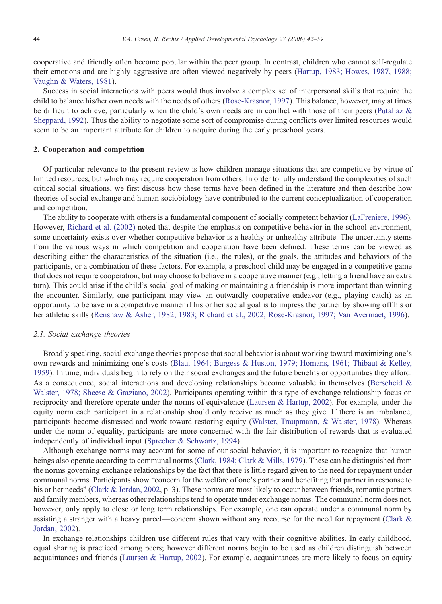cooperative and friendly often become popular within the peer group. In contrast, children who cannot self-regulate their emotions and are highly aggressive are often viewed negatively by peers ([Hartup, 1983; Howes, 1987, 1988;](#page-15-0) [Vaughn & Waters, 1981\)](#page-15-0).

Success in social interactions with peers would thus involve a complex set of interpersonal skills that require the child to balance his/her own needs with the needs of others [\(Rose-Krasnor, 1997\)](#page-16-0). This balance, however, may at times be difficult to achieve, particularly when the child's own needs are in conflict with those of their peers ([Putallaz &](#page-16-0) [Sheppard, 1992\)](#page-16-0). Thus the ability to negotiate some sort of compromise during conflicts over limited resources would seem to be an important attribute for children to acquire during the early preschool years.

# 2. Cooperation and competition

Of particular relevance to the present review is how children manage situations that are competitive by virtue of limited resources, but which may require cooperation from others. In order to fully understand the complexities of such critical social situations, we first discuss how these terms have been defined in the literature and then describe how theories of social exchange and human sociobiology have contributed to the current conceptualization of cooperation and competition.

The ability to cooperate with others is a fundamental component of socially competent behavior ([LaFreniere, 1996\)](#page-15-0). However, [Richard et al. \(2002\)](#page-16-0) noted that despite the emphasis on competitive behavior in the school environment, some uncertainty exists over whether competitive behavior is a healthy or unhealthy attribute. The uncertainty stems from the various ways in which competition and cooperation have been defined. These terms can be viewed as describing either the characteristics of the situation (i.e., the rules), or the goals, the attitudes and behaviors of the participants, or a combination of these factors. For example, a preschool child may be engaged in a competitive game that does not require cooperation, but may choose to behave in a cooperative manner (e.g., letting a friend have an extra turn). This could arise if the child's social goal of making or maintaining a friendship is more important than winning the encounter. Similarly, one participant may view an outwardly cooperative endeavor (e.g., playing catch) as an opportunity to behave in a competitive manner if his or her social goal is to impress the partner by showing off his or her athletic skills ([Renshaw & Asher, 1982, 1983; Richard et al., 2002; Rose-Krasnor, 1997; Van Avermaet, 1996](#page-16-0)).

# 2.1. Social exchange theories

Broadly speaking, social exchange theories propose that social behavior is about working toward maximizing one's own rewards and minimizing one's costs [\(Blau, 1964; Burgess & Huston, 1979; Homans, 1961; Thibaut & Kelley,](#page-14-0) [1959](#page-14-0)). In time, individuals begin to rely on their social exchanges and the future benefits or opportunities they afford. As a consequence, social interactions and developing relationships become valuable in themselves [\(Berscheid &](#page-13-0) [Walster, 1978; Sheese & Graziano, 2002\)](#page-13-0). Participants operating within this type of exchange relationship focus on reciprocity and therefore operate under the norms of equivalence [\(Laursen & Hartup, 2002\)](#page-15-0). For example, under the equity norm each participant in a relationship should only receive as much as they give. If there is an imbalance, participants become distressed and work toward restoring equity [\(Walster, Traupmann, & Walster, 1978\)](#page-17-0). Whereas under the norm of equality, participants are more concerned with the fair distribution of rewards that is evaluated independently of individual input [\(Sprecher & Schwartz, 1994](#page-16-0)).

Although exchange norms may account for some of our social behavior, it is important to recognize that human beings also operate according to communal norms ([Clark, 1984; Clark & Mills, 1979\)](#page-14-0). These can be distinguished from the norms governing exchange relationships by the fact that there is little regard given to the need for repayment under communal norms. Participants show "concern for the welfare of one's partner and benefiting that partner in response to his or her needs" [\(Clark & Jordan, 2002](#page-14-0), p. 3). These norms are most likely to occur between friends, romantic partners and family members, whereas other relationships tend to operate under exchange norms. The communal norm does not, however, only apply to close or long term relationships. For example, one can operate under a communal norm by assisting a stranger with a heavy parcel—concern shown without any recourse for the need for repayment ([Clark &](#page-14-0) [Jordan, 2002](#page-14-0)).

In exchange relationships children use different rules that vary with their cognitive abilities. In early childhood, equal sharing is practiced among peers; however different norms begin to be used as children distinguish between acquaintances and friends [\(Laursen & Hartup, 2002\)](#page-15-0). For example, acquaintances are more likely to focus on equity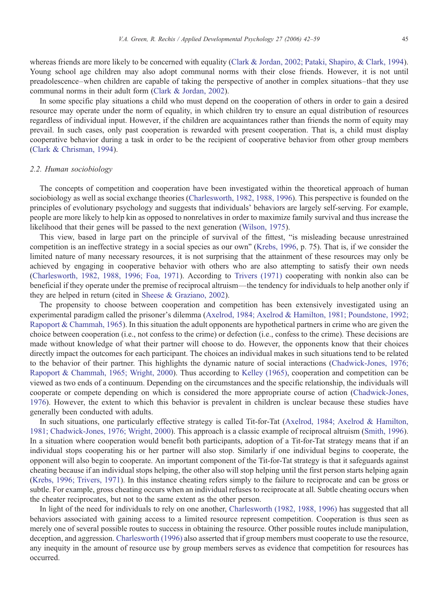whereas friends are more likely to be concerned with equality ([Clark & Jordan, 2002; Pataki, Shapiro, & Clark, 1994](#page-14-0)). Young school age children may also adopt communal norms with their close friends. However, it is not until preadolescence–when children are capable of taking the perspective of another in complex situations–that they use communal norms in their adult form [\(Clark & Jordan, 2002\)](#page-14-0).

In some specific play situations a child who must depend on the cooperation of others in order to gain a desired resource may operate under the norm of equality, in which children try to ensure an equal distribution of resources regardless of individual input. However, if the children are acquaintances rather than friends the norm of equity may prevail. In such cases, only past cooperation is rewarded with present cooperation. That is, a child must display cooperative behavior during a task in order to be the recipient of cooperative behavior from other group members [\(Clark & Chrisman, 1994\)](#page-14-0).

# 2.2. Human sociobiology

The concepts of competition and cooperation have been investigated within the theoretical approach of human sociobiology as well as social exchange theories [\(Charlesworth, 1982, 1988, 1996\)](#page-14-0). This perspective is founded on the principles of evolutionary psychology and suggests that individuals' behaviors are largely self-serving. For example, people are more likely to help kin as opposed to nonrelatives in order to maximize family survival and thus increase the likelihood that their genes will be passed to the next generation ([Wilson, 1975\)](#page-17-0).

This view, based in large part on the principle of survival of the fittest, "is misleading because unrestrained competition is an ineffective strategy in a social species as our own" ([Krebs, 1996,](#page-15-0) p. 75). That is, if we consider the limited nature of many necessary resources, it is not surprising that the attainment of these resources may only be achieved by engaging in cooperative behavior with others who are also attempting to satisfy their own needs [\(Charlesworth, 1982, 1988, 1996; Foa, 1971](#page-14-0)). According to [Trivers \(1971\)](#page-16-0) cooperating with nonkin also can be beneficial if they operate under the premise of reciprocal altruism—the tendency for individuals to help another only if they are helped in return (cited in [Sheese & Graziano, 2002](#page-16-0)).

The propensity to choose between cooperation and competition has been extensively investigated using an experimental paradigm called the prisoner's dilemma ([Axelrod, 1984; Axelrod & Hamilton, 1981; Poundstone, 1992;](#page-13-0) [Rapoport & Chammah, 1965\)](#page-13-0). In this situation the adult opponents are hypothetical partners in crime who are given the choice between cooperation (i.e., not confess to the crime) or defection (i.e., confess to the crime). These decisions are made without knowledge of what their partner will choose to do. However, the opponents know that their choices directly impact the outcomes for each participant. The choices an individual makes in such situations tend to be related to the behavior of their partner. This highlights the dynamic nature of social interactions ([Chadwick-Jones, 1976;](#page-14-0) [Rapoport & Chammah, 1965; Wright, 2000](#page-14-0)). Thus according to [Kelley \(1965\),](#page-15-0) cooperation and competition can be viewed as two ends of a continuum. Depending on the circumstances and the specific relationship, the individuals will cooperate or compete depending on which is considered the more appropriate course of action [\(Chadwick-Jones,](#page-14-0) [1976\)](#page-14-0). However, the extent to which this behavior is prevalent in children is unclear because these studies have generally been conducted with adults.

In such situations, one particularly effective strategy is called Tit-for-Tat [\(Axelrod, 1984; Axelrod & Hamilton,](#page-13-0) [1981; Chadwick-Jones, 1976; Wright, 2000](#page-13-0)). This approach is a classic example of reciprocal altruism ([Smith, 1996](#page-16-0)). In a situation where cooperation would benefit both participants, adoption of a Tit-for-Tat strategy means that if an individual stops cooperating his or her partner will also stop. Similarly if one individual begins to cooperate, the opponent will also begin to cooperate. An important component of the Tit-for-Tat strategy is that it safeguards against cheating because if an individual stops helping, the other also will stop helping until the first person starts helping again [\(Krebs, 1996; Trivers, 1971](#page-15-0)). In this instance cheating refers simply to the failure to reciprocate and can be gross or subtle. For example, gross cheating occurs when an individual refuses to reciprocate at all. Subtle cheating occurs when the cheater reciprocates, but not to the same extent as the other person.

In light of the need for individuals to rely on one another, [Charlesworth \(1982, 1988, 1996\)](#page-14-0) has suggested that all behaviors associated with gaining access to a limited resource represent competition. Cooperation is thus seen as merely one of several possible routes to success in obtaining the resource. Other possible routes include manipulation, deception, and aggression. [Charlesworth \(1996\)](#page-14-0) also asserted that if group members must cooperate to use the resource, any inequity in the amount of resource use by group members serves as evidence that competition for resources has occurred.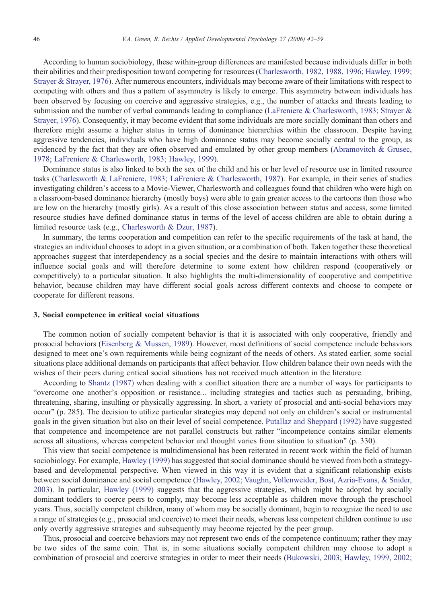According to human sociobiology, these within-group differences are manifested because individuals differ in both their abilities and their predisposition toward competing for resources [\(Charlesworth, 1982, 1988, 1996; Hawley, 1999;](#page-14-0) [Strayer & Strayer, 1976\)](#page-14-0). After numerous encounters, individuals may become aware of their limitations with respect to competing with others and thus a pattern of asymmetry is likely to emerge. This asymmetry between individuals has been observed by focusing on coercive and aggressive strategies, e.g., the number of attacks and threats leading to submission and the number of verbal commands leading to compliance [\(LaFreniere & Charlesworth, 1983; Strayer &](#page-15-0) [Strayer, 1976\)](#page-15-0). Consequently, it may become evident that some individuals are more socially dominant than others and therefore might assume a higher status in terms of dominance hierarchies within the classroom. Despite having aggressive tendencies, individuals who have high dominance status may become socially central to the group, as evidenced by the fact that they are often observed and emulated by other group members [\(Abramovitch & Grusec,](#page-13-0) [1978; LaFreniere & Charlesworth, 1983; Hawley, 1999\)](#page-13-0).

Dominance status is also linked to both the sex of the child and his or her level of resource use in limited resource tasks [\(Charlesworth & LaFreniere, 1983; LaFreniere & Charlesworth, 1987\)](#page-14-0). For example, in their series of studies investigating children's access to a Movie-Viewer, Charlesworth and colleagues found that children who were high on a classroom-based dominance hierarchy (mostly boys) were able to gain greater access to the cartoons than those who are low on the hierarchy (mostly girls). As a result of this close association between status and access, some limited resource studies have defined dominance status in terms of the level of access children are able to obtain during a limited resource task (e.g., [Charlesworth & Dzur, 1987](#page-14-0)).

In summary, the terms cooperation and competition can refer to the specific requirements of the task at hand, the strategies an individual chooses to adopt in a given situation, or a combination of both. Taken together these theoretical approaches suggest that interdependency as a social species and the desire to maintain interactions with others will influence social goals and will therefore determine to some extent how children respond (cooperatively or competitively) to a particular situation. It also highlights the multi-dimensionality of cooperative and competitive behavior, because children may have different social goals across different contexts and choose to compete or cooperate for different reasons.

## 3. Social competence in critical social situations

The common notion of socially competent behavior is that it is associated with only cooperative, friendly and prosocial behaviors ([Eisenberg & Mussen, 1989](#page-14-0)). However, most definitions of social competence include behaviors designed to meet one's own requirements while being cognizant of the needs of others. As stated earlier, some social situations place additional demands on participants that affect behavior. How children balance their own needs with the wishes of their peers during critical social situations has not received much attention in the literature.

According to [Shantz \(1987\)](#page-16-0) when dealing with a conflict situation there are a number of ways for participants to "overcome one another's opposition or resistance… including strategies and tactics such as persuading, bribing, threatening, sharing, insulting or physically aggressing. In short, a variety of prosocial and anti-social behaviors may occur" (p. 285). The decision to utilize particular strategies may depend not only on children's social or instrumental goals in the given situation but also on their level of social competence. [Putallaz and Sheppard \(1992\)](#page-16-0) have suggested that competence and incompetence are not parallel constructs but rather "incompetence contains similar elements across all situations, whereas competent behavior and thought varies from situation to situation" (p. 330).

This view that social competence is multidimensional has been reiterated in recent work within the field of human sociobiology. For example, [Hawley \(1999\)](#page-15-0) has suggested that social dominance should be viewed from both a strategybased and developmental perspective. When viewed in this way it is evident that a significant relationship exists between social dominance and social competence [\(Hawley, 2002; Vaughn, Vollenweider, Bost, Azria-Evans, & Snider,](#page-15-0) [2003](#page-15-0)). In particular, [Hawley \(1999\)](#page-15-0) suggests that the aggressive strategies, which might be adopted by socially dominant toddlers to coerce peers to comply, may become less acceptable as children move through the preschool years. Thus, socially competent children, many of whom may be socially dominant, begin to recognize the need to use a range of strategies (e.g., prosocial and coercive) to meet their needs, whereas less competent children continue to use only overtly aggressive strategies and subsequently may become rejected by the peer group.

Thus, prosocial and coercive behaviors may not represent two ends of the competence continuum; rather they may be two sides of the same coin. That is, in some situations socially competent children may choose to adopt a combination of prosocial and coercive strategies in order to meet their needs ([Bukowski, 2003; Hawley, 1999, 2002;](#page-14-0)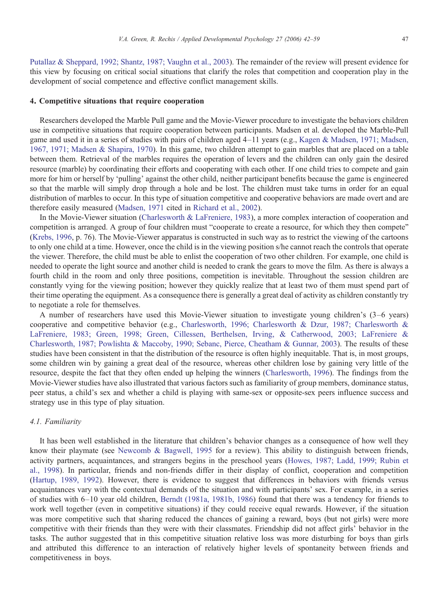[Putallaz & Sheppard, 1992; Shantz, 1987; Vaughn et al., 2003\)](#page-14-0). The remainder of the review will present evidence for this view by focusing on critical social situations that clarify the roles that competition and cooperation play in the development of social competence and effective conflict management skills.

# 4. Competitive situations that require cooperation

Researchers developed the Marble Pull game and the Movie-Viewer procedure to investigate the behaviors children use in competitive situations that require cooperation between participants. Madsen et al. developed the Marble-Pull game and used it in a series of studies with pairs of children aged 4–11 years (e.g., [Kagen & Madsen, 1971; Madsen,](#page-15-0) [1967, 1971; Madsen & Shapira, 1970](#page-15-0)). In this game, two children attempt to gain marbles that are placed on a table between them. Retrieval of the marbles requires the operation of levers and the children can only gain the desired resource (marble) by coordinating their efforts and cooperating with each other. If one child tries to compete and gain more for him or herself by 'pulling' against the other child, neither participant benefits because the game is engineered so that the marble will simply drop through a hole and be lost. The children must take turns in order for an equal distribution of marbles to occur. In this type of situation competitive and cooperative behaviors are made overt and are therefore easily measured [\(Madsen, 1971](#page-15-0) cited in [Richard et al., 2002](#page-16-0)).

In the Movie-Viewer situation [\(Charlesworth & LaFreniere, 1983\)](#page-14-0), a more complex interaction of cooperation and competition is arranged. A group of four children must "cooperate to create a resource, for which they then compete" [\(Krebs, 1996](#page-15-0), p. 76). The Movie-Viewer apparatus is constructed in such way as to restrict the viewing of the cartoons to only one child at a time. However, once the child is in the viewing position s/he cannot reach the controls that operate the viewer. Therefore, the child must be able to enlist the cooperation of two other children. For example, one child is needed to operate the light source and another child is needed to crank the gears to move the film. As there is always a fourth child in the room and only three positions, competition is inevitable. Throughout the session children are constantly vying for the viewing position; however they quickly realize that at least two of them must spend part of their time operating the equipment. As a consequence there is generally a great deal of activity as children constantly try to negotiate a role for themselves.

A number of researchers have used this Movie-Viewer situation to investigate young children's (3–6 years) cooperative and competitive behavior (e.g., [Charlesworth, 1996; Charlesworth & Dzur, 1987; Charlesworth &](#page-14-0) [LaFreniere, 1983; Green, 1998; Green, Cillessen, Berthelsen, Irving, & Catherwood, 2003; LaFreniere &](#page-14-0) [Charlesworth, 1987; Powlishta & Maccoby, 1990; Sebanc, Pierce, Cheatham & Gunnar, 2003](#page-14-0)). The results of these studies have been consistent in that the distribution of the resource is often highly inequitable. That is, in most groups, some children win by gaining a great deal of the resource, whereas other children lose by gaining very little of the resource, despite the fact that they often ended up helping the winners [\(Charlesworth, 1996\)](#page-14-0). The findings from the Movie-Viewer studies have also illustrated that various factors such as familiarity of group members, dominance status, peer status, a child's sex and whether a child is playing with same-sex or opposite-sex peers influence success and strategy use in this type of play situation.

## 4.1. Familiarity

It has been well established in the literature that children's behavior changes as a consequence of how well they know their playmate (see [Newcomb & Bagwell, 1995](#page-15-0) for a review). This ability to distinguish between friends, activity partners, acquaintances, and strangers begins in the preschool years ([Howes, 1987; Ladd, 1999; Rubin et](#page-15-0) [al., 1998](#page-15-0)). In particular, friends and non-friends differ in their display of conflict, cooperation and competition [\(Hartup, 1989, 1992](#page-15-0)). However, there is evidence to suggest that differences in behaviors with friends versus acquaintances vary with the contextual demands of the situation and with participants' sex. For example, in a series of studies with 6–10 year old children, [Berndt \(1981a, 1981b, 1986\)](#page-13-0) found that there was a tendency for friends to work well together (even in competitive situations) if they could receive equal rewards. However, if the situation was more competitive such that sharing reduced the chances of gaining a reward, boys (but not girls) were more competitive with their friends than they were with their classmates. Friendship did not affect girls' behavior in the tasks. The author suggested that in this competitive situation relative loss was more disturbing for boys than girls and attributed this difference to an interaction of relatively higher levels of spontaneity between friends and competitiveness in boys.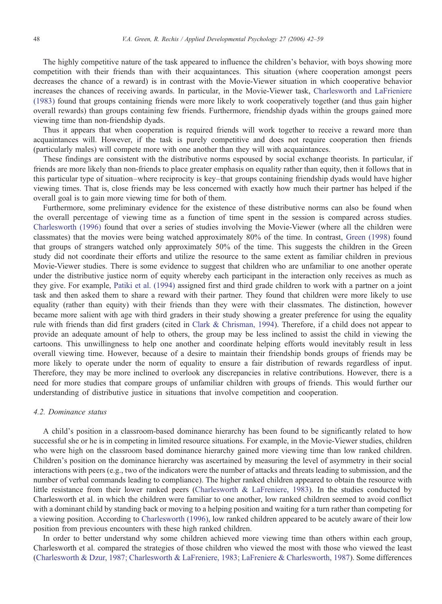The highly competitive nature of the task appeared to influence the children's behavior, with boys showing more competition with their friends than with their acquaintances. This situation (where cooperation amongst peers decreases the chance of a reward) is in contrast with the Movie-Viewer situation in which cooperative behavior increases the chances of receiving awards. In particular, in the Movie-Viewer task, [Charlesworth and LaFrieniere](#page-14-0) [\(1983\)](#page-14-0) found that groups containing friends were more likely to work cooperatively together (and thus gain higher overall rewards) than groups containing few friends. Furthermore, friendship dyads within the groups gained more viewing time than non-friendship dyads.

Thus it appears that when cooperation is required friends will work together to receive a reward more than acquaintances will. However, if the task is purely competitive and does not require cooperation then friends (particularly males) will compete more with one another than they will with acquaintances.

These findings are consistent with the distributive norms espoused by social exchange theorists. In particular, if friends are more likely than non-friends to place greater emphasis on equality rather than equity, then it follows that in this particular type of situation–where reciprocity is key–that groups containing friendship dyads would have higher viewing times. That is, close friends may be less concerned with exactly how much their partner has helped if the overall goal is to gain more viewing time for both of them.

Furthermore, some preliminary evidence for the existence of these distributive norms can also be found when the overall percentage of viewing time as a function of time spent in the session is compared across studies. [Charlesworth \(1996\)](#page-14-0) found that over a series of studies involving the Movie-Viewer (where all the children were classmates) that the movies were being watched approximately 80% of the time. In contrast, [Green \(1998\)](#page-14-0) found that groups of strangers watched only approximately 50% of the time. This suggests the children in the Green study did not coordinate their efforts and utilize the resource to the same extent as familiar children in previous Movie-Viewer studies. There is some evidence to suggest that children who are unfamiliar to one another operate under the distributive justice norm of equity whereby each participant in the interaction only receives as much as they give. For example, [Patiki et al. \(1994\)](#page-16-0) assigned first and third grade children to work with a partner on a joint task and then asked them to share a reward with their partner. They found that children were more likely to use equality (rather than equity) with their friends than they were with their classmates. The distinction, however became more salient with age with third graders in their study showing a greater preference for using the equality rule with friends than did first graders (cited in [Clark & Chrisman, 1994\)](#page-14-0). Therefore, if a child does not appear to provide an adequate amount of help to others, the group may be less inclined to assist the child in viewing the cartoons. This unwillingness to help one another and coordinate helping efforts would inevitably result in less overall viewing time. However, because of a desire to maintain their friendship bonds groups of friends may be more likely to operate under the norm of equality to ensure a fair distribution of rewards regardless of input. Therefore, they may be more inclined to overlook any discrepancies in relative contributions. However, there is a need for more studies that compare groups of unfamiliar children with groups of friends. This would further our understanding of distributive justice in situations that involve competition and cooperation.

#### 4.2. Dominance status

A child's position in a classroom-based dominance hierarchy has been found to be significantly related to how successful she or he is in competing in limited resource situations. For example, in the Movie-Viewer studies, children who were high on the classroom based dominance hierarchy gained more viewing time than low ranked children. Children's position on the dominance hierarchy was ascertained by measuring the level of asymmetry in their social interactions with peers (e.g., two of the indicators were the number of attacks and threats leading to submission, and the number of verbal commands leading to compliance). The higher ranked children appeared to obtain the resource with little resistance from their lower ranked peers [\(Charlesworth & LaFreniere, 1983](#page-14-0)). In the studies conducted by Charlesworth et al. in which the children were familiar to one another, low ranked children seemed to avoid conflict with a dominant child by standing back or moving to a helping position and waiting for a turn rather than competing for a viewing position. According to [Charlesworth \(1996\),](#page-14-0) low ranked children appeared to be acutely aware of their low position from previous encounters with these high ranked children.

In order to better understand why some children achieved more viewing time than others within each group, Charlesworth et al. compared the strategies of those children who viewed the most with those who viewed the least [\(Charlesworth & Dzur, 1987; Charlesworth & LaFreniere, 1983; LaFreniere & Charlesworth, 1987\)](#page-14-0). Some differences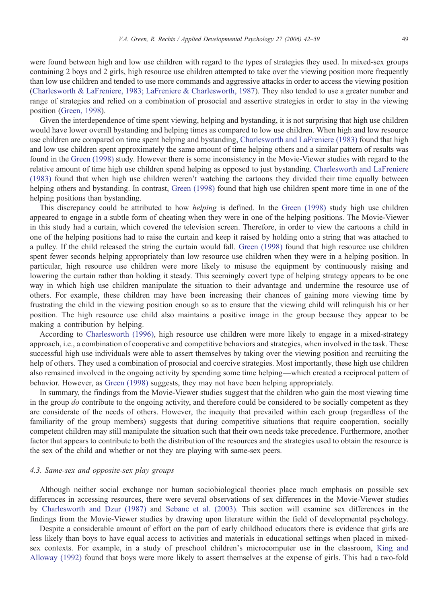were found between high and low use children with regard to the types of strategies they used. In mixed-sex groups containing 2 boys and 2 girls, high resource use children attempted to take over the viewing position more frequently than low use children and tended to use more commands and aggressive attacks in order to access the viewing position [\(Charlesworth & LaFreniere, 1983; LaFreniere & Charlesworth, 1987](#page-14-0)). They also tended to use a greater number and range of strategies and relied on a combination of prosocial and assertive strategies in order to stay in the viewing position ([Green, 1998\)](#page-14-0).

Given the interdependence of time spent viewing, helping and bystanding, it is not surprising that high use children would have lower overall bystanding and helping times as compared to low use children. When high and low resource use children are compared on time spent helping and bystanding, [Charlesworth and LaFreniere \(1983\)](#page-14-0) found that high and low use children spent approximately the same amount of time helping others and a similar pattern of results was found in the [Green \(1998\)](#page-14-0) study. However there is some inconsistency in the Movie-Viewer studies with regard to the relative amount of time high use children spend helping as opposed to just bystanding. [Charlesworth and LaFreniere](#page-14-0) [\(1983\)](#page-14-0) found that when high use children weren't watching the cartoons they divided their time equally between helping others and bystanding. In contrast, [Green \(1998\)](#page-14-0) found that high use children spent more time in one of the helping positions than bystanding.

This discrepancy could be attributed to how *helping* is defined. In the [Green \(1998\)](#page-14-0) study high use children appeared to engage in a subtle form of cheating when they were in one of the helping positions. The Movie-Viewer in this study had a curtain, which covered the television screen. Therefore, in order to view the cartoons a child in one of the helping positions had to raise the curtain and keep it raised by holding onto a string that was attached to a pulley. If the child released the string the curtain would fall. [Green \(1998\)](#page-14-0) found that high resource use children spent fewer seconds helping appropriately than low resource use children when they were in a helping position. In particular, high resource use children were more likely to misuse the equipment by continuously raising and lowering the curtain rather than holding it steady. This seemingly covert type of helping strategy appears to be one way in which high use children manipulate the situation to their advantage and undermine the resource use of others. For example, these children may have been increasing their chances of gaining more viewing time by frustrating the child in the viewing position enough so as to ensure that the viewing child will relinquish his or her position. The high resource use child also maintains a positive image in the group because they appear to be making a contribution by helping.

According to [Charlesworth \(1996\)](#page-14-0), high resource use children were more likely to engage in a mixed-strategy approach, i.e., a combination of cooperative and competitive behaviors and strategies, when involved in the task. These successful high use individuals were able to assert themselves by taking over the viewing position and recruiting the help of others. They used a combination of prosocial and coercive strategies. Most importantly, these high use children also remained involved in the ongoing activity by spending some time helping—which created a reciprocal pattern of behavior. However, as [Green \(1998\)](#page-14-0) suggests, they may not have been helping appropriately.

In summary, the findings from the Movie-Viewer studies suggest that the children who gain the most viewing time in the group do contribute to the ongoing activity, and therefore could be considered to be socially competent as they are considerate of the needs of others. However, the inequity that prevailed within each group (regardless of the familiarity of the group members) suggests that during competitive situations that require cooperation, socially competent children may still manipulate the situation such that their own needs take precedence. Furthermore, another factor that appears to contribute to both the distribution of the resources and the strategies used to obtain the resource is the sex of the child and whether or not they are playing with same-sex peers.

## 4.3. Same-sex and opposite-sex play groups

Although neither social exchange nor human sociobiological theories place much emphasis on possible sex differences in accessing resources, there were several observations of sex differences in the Movie-Viewer studies by [Charlesworth and Dzur \(1987\)](#page-14-0) and [Sebanc et al. \(2003\).](#page-16-0) This section will examine sex differences in the findings from the Movie-Viewer studies by drawing upon literature within the field of developmental psychology.

Despite a considerable amount of effort on the part of early childhood educators there is evidence that girls are less likely than boys to have equal access to activities and materials in educational settings when placed in mixedsex contexts. For example, in a study of preschool children's microcomputer use in the classroom, [King and](#page-15-0) [Alloway \(1992\)](#page-15-0) found that boys were more likely to assert themselves at the expense of girls. This had a two-fold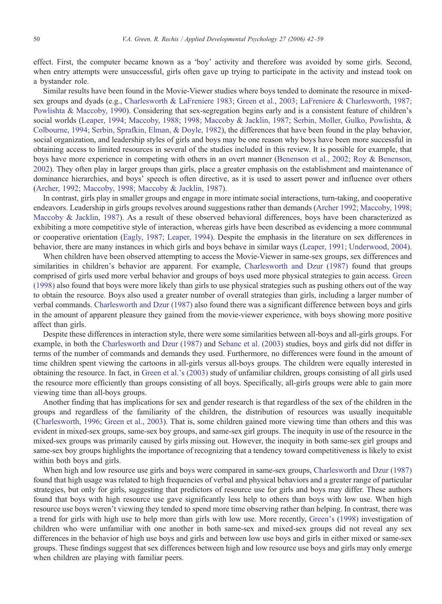effect. First, the computer became known as a 'boy' activity and therefore was avoided by some girls. Second, when entry attempts were unsuccessful, girls often gave up trying to participate in the activity and instead took on a bystander role.

Similar results have been found in the Movie-Viewer studies where boys tended to dominate the resource in mixedsex groups and dyads (e.g., [Charlesworth & LaFreniere 1983; Green et al., 2003; LaFreniere & Charlesworth, 1987;](#page-14-0) [Powlishta & Maccoby, 1990\)](#page-14-0). Considering that sex-segregation begins early and is a consistent feature of children's social worlds [\(Leaper, 1994; Maccoby, 1988; 1998; Maccoby & Jacklin, 1987; Serbin, Moller, Gulko, Powlishta, &](#page-15-0) [Colbourne, 1994; Serbin, Sprafkin, Elman, & Doyle, 1982\)](#page-15-0), the differences that have been found in the play behavior, social organization, and leadership styles of girls and boys may be one reason why boys have been more successful in obtaining access to limited resources in several of the studies included in this review. It is possible for example, that boys have more experience in competing with others in an overt manner [\(Benenson et al., 2002; Roy & Benenson,](#page-13-0) [2002](#page-13-0)). They often play in larger groups than girls, place a greater emphasis on the establishment and maintenance of dominance hierarchies, and boys' speech is often directive, as it is used to assert power and influence over others [\(Archer, 1992; Maccoby, 1998; Maccoby & Jacklin, 1987\)](#page-13-0).

In contrast, girls play in smaller groups and engage in more intimate social interactions, turn-taking, and cooperative endeavors. Leadership in girls groups revolves around suggestions rather than demands [\(Archer 1992; Maccoby, 1998;](#page-13-0) [Maccoby & Jacklin, 1987](#page-13-0)). As a result of these observed behavioral differences, boys have been characterized as exhibiting a more competitive style of interaction, whereas girls have been described as evidencing a more communal or cooperative orientation ([Eagly, 1987; Leaper, 1994\)](#page-14-0). Despite the emphasis in the literature on sex differences in behavior, there are many instances in which girls and boys behave in similar ways ([Leaper, 1991; Underwood, 2004\)](#page-15-0).

When children have been observed attempting to access the Movie-Viewer in same-sex groups, sex differences and similarities in children's behavior are apparent. For example, [Charlesworth and Dzur \(1987\)](#page-14-0) found that groups comprised of girls used more verbal behavior and groups of boys used more physical strategies to gain access. [Green](#page-14-0) [\(1998\)](#page-14-0) also found that boys were more likely than girls to use physical strategies such as pushing others out of the way to obtain the resource. Boys also used a greater number of overall strategies than girls, including a larger number of verbal commands. [Charlesworth and Dzur \(1987\)](#page-14-0) also found there was a significant difference between boys and girls in the amount of apparent pleasure they gained from the movie-viewer experience, with boys showing more positive affect than girls.

Despite these differences in interaction style, there were some similarities between all-boys and all-girls groups. For example, in both the [Charlesworth and Dzur \(1987\)](#page-14-0) and [Sebanc et al. \(2003\)](#page-16-0) studies, boys and girls did not differ in terms of the number of commands and demands they used. Furthermore, no differences were found in the amount of time children spent viewing the cartoons in all-girls versus all-boys groups. The children were equally interested in obtaining the resource. In fact, in [Green et al.'s \(2003\)](#page-14-0) study of unfamiliar children, groups consisting of all girls used the resource more efficiently than groups consisting of all boys. Specifically, all-girls groups were able to gain more viewing time than all-boys groups.

Another finding that has implications for sex and gender research is that regardless of the sex of the children in the groups and regardless of the familiarity of the children, the distribution of resources was usually inequitable [\(Charlesworth, 1996; Green et al., 2003](#page-14-0)). That is, some children gained more viewing time than others and this was evident in mixed-sex groups, same-sex boy groups, and same-sex girl groups. The inequity in use of the resource in the mixed-sex groups was primarily caused by girls missing out. However, the inequity in both same-sex girl groups and same-sex boy groups highlights the importance of recognizing that a tendency toward competitiveness is likely to exist within both boys and girls.

When high and low resource use girls and boys were compared in same-sex groups, [Charlesworth and Dzur \(1987\)](#page-14-0) found that high usage was related to high frequencies of verbal and physical behaviors and a greater range of particular strategies, but only for girls, suggesting that predictors of resource use for girls and boys may differ. These authors found that boys with high resource use gave significantly less help to others than boys with low use. When high resource use boys weren't viewing they tended to spend more time observing rather than helping. In contrast, there was a trend for girls with high use to help more than girls with low use. More recently, [Green's \(1998\)](#page-14-0) investigation of children who were unfamiliar with one another in both same-sex and mixed-sex groups did not reveal any sex differences in the behavior of high use boys and girls and between low use boys and girls in either mixed or same-sex groups. These findings suggest that sex differences between high and low resource use boys and girls may only emerge when children are playing with familiar peers.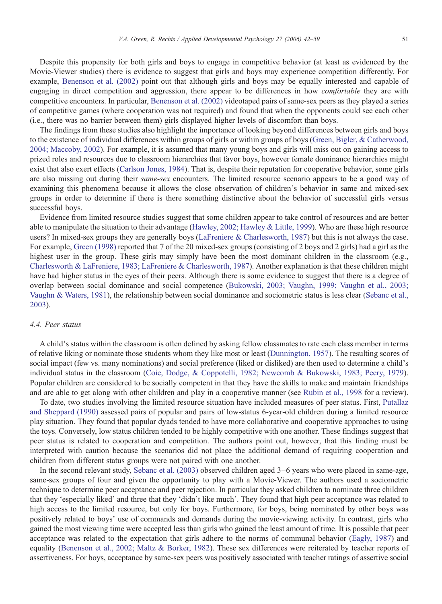Despite this propensity for both girls and boys to engage in competitive behavior (at least as evidenced by the Movie-Viewer studies) there is evidence to suggest that girls and boys may experience competition differently. For example, [Benenson et al. \(2002\)](#page-13-0) point out that although girls and boys may be equally interested and capable of engaging in direct competition and aggression, there appear to be differences in how *comfortable* they are with competitive encounters. In particular, [Benenson et al. \(2002\)](#page-13-0) videotaped pairs of same-sex peers as they played a series of competitive games (where cooperation was not required) and found that when the opponents could see each other (i.e., there was no barrier between them) girls displayed higher levels of discomfort than boys.

The findings from these studies also highlight the importance of looking beyond differences between girls and boys to the existence of individual differences within groups of girls or within groups of boys ([Green, Bigler, & Catherwood,](#page-14-0) [2004; Maccoby, 2002](#page-14-0)). For example, it is assumed that many young boys and girls will miss out on gaining access to prized roles and resources due to classroom hierarchies that favor boys, however female dominance hierarchies might exist that also exert effects [\(Carlson Jones, 1984](#page-14-0)). That is, despite their reputation for cooperative behavior, some girls are also missing out during their same-sex encounters. The limited resource scenario appears to be a good way of examining this phenomena because it allows the close observation of children's behavior in same and mixed-sex groups in order to determine if there is there something distinctive about the behavior of successful girls versus successful boys.

Evidence from limited resource studies suggest that some children appear to take control of resources and are better able to manipulate the situation to their advantage ([Hawley, 2002; Hawley & Little, 1999](#page-15-0)). Who are these high resource users? In mixed-sex groups they are generally boys ([LaFreniere & Charlesworth, 1987](#page-15-0)) but this is not always the case. For example, [Green \(1998\)](#page-14-0) reported that 7 of the 20 mixed-sex groups (consisting of 2 boys and 2 girls) had a girl as the highest user in the group. These girls may simply have been the most dominant children in the classroom (e.g., [Charlesworth & LaFreniere, 1983; LaFreniere & Charlesworth, 1987](#page-14-0)). Another explanation is that these children might have had higher status in the eyes of their peers. Although there is some evidence to suggest that there is a degree of overlap between social dominance and social competence ([Bukowski, 2003; Vaughn, 1999; Vaughn et al., 2003;](#page-14-0) [Vaughn & Waters, 1981\)](#page-14-0), the relationship between social dominance and sociometric status is less clear ([Sebanc et al.,](#page-16-0) [2003\)](#page-16-0).

## 4.4. Peer status

A child's status within the classroom is often defined by asking fellow classmates to rate each class member in terms of relative liking or nominate those students whom they like most or least ([Dunnington, 1957\)](#page-14-0). The resulting scores of social impact (few vs. many nominations) and social preference (liked or disliked) are then used to determine a child's individual status in the classroom ([Coie, Dodge, & Coppotelli, 1982; Newcomb & Bukowski, 1983; Peery, 1979](#page-14-0)). Popular children are considered to be socially competent in that they have the skills to make and maintain friendships and are able to get along with other children and play in a cooperative manner (see [Rubin et al., 1998](#page-16-0) for a review).

To date, two studies involving the limited resource situation have included measures of peer status. First, [Putallaz](#page-16-0) [and Sheppard \(1990\)](#page-16-0) assessed pairs of popular and pairs of low-status 6-year-old children during a limited resource play situation. They found that popular dyads tended to have more collaborative and cooperative approaches to using the toys. Conversely, low status children tended to be highly competitive with one another. These findings suggest that peer status is related to cooperation and competition. The authors point out, however, that this finding must be interpreted with caution because the scenarios did not place the additional demand of requiring cooperation and children from different status groups were not paired with one another.

In the second relevant study, [Sebanc et al. \(2003\)](#page-16-0) observed children aged 3–6 years who were placed in same-age, same-sex groups of four and given the opportunity to play with a Movie-Viewer. The authors used a sociometric technique to determine peer acceptance and peer rejection. In particular they asked children to nominate three children that they 'especially liked' and three that they 'didn't like much'. They found that high peer acceptance was related to high access to the limited resource, but only for boys. Furthermore, for boys, being nominated by other boys was positively related to boys' use of commands and demands during the movie-viewing activity. In contrast, girls who gained the most viewing time were accepted less than girls who gained the least amount of time. It is possible that peer acceptance was related to the expectation that girls adhere to the norms of communal behavior [\(Eagly, 1987\)](#page-14-0) and equality [\(Benenson et al., 2002; Maltz & Borker, 1982](#page-13-0)). These sex differences were reiterated by teacher reports of assertiveness. For boys, acceptance by same-sex peers was positively associated with teacher ratings of assertive social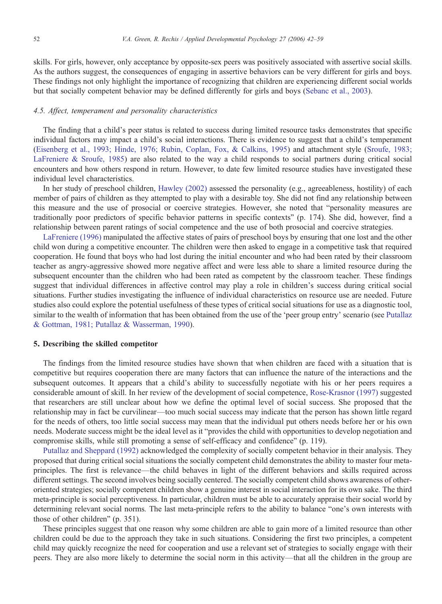skills. For girls, however, only acceptance by opposite-sex peers was positively associated with assertive social skills. As the authors suggest, the consequences of engaging in assertive behaviors can be very different for girls and boys. These findings not only highlight the importance of recognizing that children are experiencing different social worlds but that socially competent behavior may be defined differently for girls and boys ([Sebanc et al., 2003](#page-16-0)).

# 4.5. Affect, temperament and personality characteristics

The finding that a child's peer status is related to success during limited resource tasks demonstrates that specific individual factors may impact a child's social interactions. There is evidence to suggest that a child's temperament [\(Eisenberg et al., 1993; Hinde, 1976; Rubin, Coplan, Fox, & Calkins, 1995\)](#page-14-0) and attachment style [\(Sroufe, 1983;](#page-16-0) [LaFreniere & Sroufe, 1985](#page-16-0)) are also related to the way a child responds to social partners during critical social encounters and how others respond in return. However, to date few limited resource studies have investigated these individual level characteristics.

In her study of preschool children, [Hawley \(2002\)](#page-15-0) assessed the personality (e.g., agreeableness, hostility) of each member of pairs of children as they attempted to play with a desirable toy. She did not find any relationship between this measure and the use of prosocial or coercive strategies. However, she noted that "personality measures are traditionally poor predictors of specific behavior patterns in specific contexts" (p. 174). She did, however, find a relationship between parent ratings of social competence and the use of both prosocial and coercive strategies.

[LaFreniere \(1996\)](#page-15-0) manipulated the affective states of pairs of preschool boys by ensuring that one lost and the other child won during a competitive encounter. The children were then asked to engage in a competitive task that required cooperation. He found that boys who had lost during the initial encounter and who had been rated by their classroom teacher as angry-aggressive showed more negative affect and were less able to share a limited resource during the subsequent encounter than the children who had been rated as competent by the classroom teacher. These findings suggest that individual differences in affective control may play a role in children's success during critical social situations. Further studies investigating the influence of individual characteristics on resource use are needed. Future studies also could explore the potential usefulness of these types of critical social situations for use as a diagnostic tool, similar to the wealth of information that has been obtained from the use of the 'peer group entry' scenario (see [Putallaz](#page-16-0) [& Gottman, 1981; Putallaz & Wasserman, 1990\)](#page-16-0).

# 5. Describing the skilled competitor

The findings from the limited resource studies have shown that when children are faced with a situation that is competitive but requires cooperation there are many factors that can influence the nature of the interactions and the subsequent outcomes. It appears that a child's ability to successfully negotiate with his or her peers requires a considerable amount of skill. In her review of the development of social competence, [Rose-Krasnor \(1997\)](#page-16-0) suggested that researchers are still unclear about how we define the optimal level of social success. She proposed that the relationship may in fact be curvilinear—too much social success may indicate that the person has shown little regard for the needs of others, too little social success may mean that the individual put others needs before her or his own needs. Moderate success might be the ideal level as it "provides the child with opportunities to develop negotiation and compromise skills, while still promoting a sense of self-efficacy and confidence" (p. 119).

[Putallaz and Sheppard \(1992\)](#page-16-0) acknowledged the complexity of socially competent behavior in their analysis. They proposed that during critical social situations the socially competent child demonstrates the ability to master four metaprinciples. The first is relevance—the child behaves in light of the different behaviors and skills required across different settings. The second involves being socially centered. The socially competent child shows awareness of otheroriented strategies; socially competent children show a genuine interest in social interaction for its own sake. The third meta-principle is social perceptiveness. In particular, children must be able to accurately appraise their social world by determining relevant social norms. The last meta-principle refers to the ability to balance "one's own interests with those of other children" (p. 351).

These principles suggest that one reason why some children are able to gain more of a limited resource than other children could be due to the approach they take in such situations. Considering the first two principles, a competent child may quickly recognize the need for cooperation and use a relevant set of strategies to socially engage with their peers. They are also more likely to determine the social norm in this activity—that all the children in the group are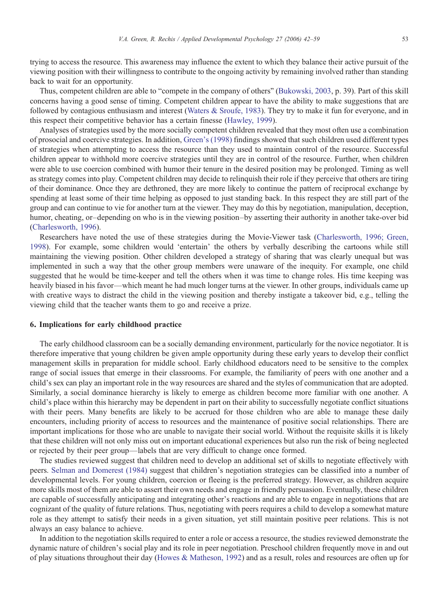trying to access the resource. This awareness may influence the extent to which they balance their active pursuit of the viewing position with their willingness to contribute to the ongoing activity by remaining involved rather than standing back to wait for an opportunity.

Thus, competent children are able to "compete in the company of others" ([Bukowski, 2003,](#page-14-0) p. 39). Part of this skill concerns having a good sense of timing. Competent children appear to have the ability to make suggestions that are followed by contagious enthusiasm and interest ([Waters & Sroufe, 1983\)](#page-17-0). They try to make it fun for everyone, and in this respect their competitive behavior has a certain finesse ([Hawley, 1999\)](#page-15-0).

Analyses of strategies used by the more socially competent children revealed that they most often use a combination of prosocial and coercive strategies. In addition, [Green's \(1998\)](#page-14-0) findings showed that such children used different types of strategies when attempting to access the resource than they used to maintain control of the resource. Successful children appear to withhold more coercive strategies until they are in control of the resource. Further, when children were able to use coercion combined with humor their tenure in the desired position may be prolonged. Timing as well as strategy comes into play. Competent children may decide to relinquish their role if they perceive that others are tiring of their dominance. Once they are dethroned, they are more likely to continue the pattern of reciprocal exchange by spending at least some of their time helping as opposed to just standing back. In this respect they are still part of the group and can continue to vie for another turn at the viewer. They may do this by negotiation, manipulation, deception, humor, cheating, or–depending on who is in the viewing position–by asserting their authority in another take-over bid [\(Charlesworth, 1996\)](#page-14-0).

Researchers have noted the use of these strategies during the Movie-Viewer task [\(Charlesworth, 1996; Green,](#page-14-0) [1998\)](#page-14-0). For example, some children would 'entertain' the others by verbally describing the cartoons while still maintaining the viewing position. Other children developed a strategy of sharing that was clearly unequal but was implemented in such a way that the other group members were unaware of the inequity. For example, one child suggested that he would be time-keeper and tell the others when it was time to change roles. His time keeping was heavily biased in his favor—which meant he had much longer turns at the viewer. In other groups, individuals came up with creative ways to distract the child in the viewing position and thereby instigate a takeover bid, e.g., telling the viewing child that the teacher wants them to go and receive a prize.

# 6. Implications for early childhood practice

The early childhood classroom can be a socially demanding environment, particularly for the novice negotiator. It is therefore imperative that young children be given ample opportunity during these early years to develop their conflict management skills in preparation for middle school. Early childhood educators need to be sensitive to the complex range of social issues that emerge in their classrooms. For example, the familiarity of peers with one another and a child's sex can play an important role in the way resources are shared and the styles of communication that are adopted. Similarly, a social dominance hierarchy is likely to emerge as children become more familiar with one another. A child's place within this hierarchy may be dependent in part on their ability to successfully negotiate conflict situations with their peers. Many benefits are likely to be accrued for those children who are able to manage these daily encounters, including priority of access to resources and the maintenance of positive social relationships. There are important implications for those who are unable to navigate their social world. Without the requisite skills it is likely that these children will not only miss out on important educational experiences but also run the risk of being neglected or rejected by their peer group—labels that are very difficult to change once formed.

The studies reviewed suggest that children need to develop an additional set of skills to negotiate effectively with peers. [Selman and Domerest \(1984\)](#page-16-0) suggest that children's negotiation strategies can be classified into a number of developmental levels. For young children, coercion or fleeing is the preferred strategy. However, as children acquire more skills most of them are able to assert their own needs and engage in friendly persuasion. Eventually, these children are capable of successfully anticipating and integrating other's reactions and are able to engage in negotiations that are cognizant of the quality of future relations. Thus, negotiating with peers requires a child to develop a somewhat mature role as they attempt to satisfy their needs in a given situation, yet still maintain positive peer relations. This is not always an easy balance to achieve.

In addition to the negotiation skills required to enter a role or access a resource, the studies reviewed demonstrate the dynamic nature of children's social play and its role in peer negotiation. Preschool children frequently move in and out of play situations throughout their day ([Howes & Matheson, 1992\)](#page-15-0) and as a result, roles and resources are often up for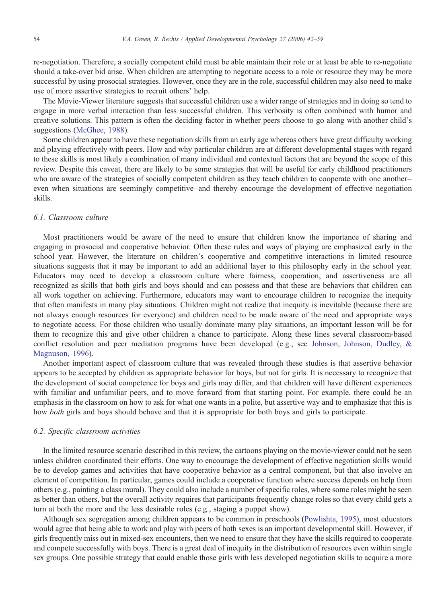re-negotiation. Therefore, a socially competent child must be able maintain their role or at least be able to re-negotiate should a take-over bid arise. When children are attempting to negotiate access to a role or resource they may be more successful by using prosocial strategies. However, once they are in the role, successful children may also need to make use of more assertive strategies to recruit others' help.

The Movie-Viewer literature suggests that successful children use a wider range of strategies and in doing so tend to engage in more verbal interaction than less successful children. This verbosity is often combined with humor and creative solutions. This pattern is often the deciding factor in whether peers choose to go along with another child's suggestions ([McGhee, 1988](#page-15-0)).

Some children appear to have these negotiation skills from an early age whereas others have great difficulty working and playing effectively with peers. How and why particular children are at different developmental stages with regard to these skills is most likely a combination of many individual and contextual factors that are beyond the scope of this review. Despite this caveat, there are likely to be some strategies that will be useful for early childhood practitioners who are aware of the strategies of socially competent children as they teach children to cooperate with one another– even when situations are seemingly competitive–and thereby encourage the development of effective negotiation skills.

# 6.1. Classroom culture

Most practitioners would be aware of the need to ensure that children know the importance of sharing and engaging in prosocial and cooperative behavior. Often these rules and ways of playing are emphasized early in the school year. However, the literature on children's cooperative and competitive interactions in limited resource situations suggests that it may be important to add an additional layer to this philosophy early in the school year. Educators may need to develop a classroom culture where fairness, cooperation, and assertiveness are all recognized as skills that both girls and boys should and can possess and that these are behaviors that children can all work together on achieving. Furthermore, educators may want to encourage children to recognize the inequity that often manifests in many play situations. Children might not realize that inequity is inevitable (because there are not always enough resources for everyone) and children need to be made aware of the need and appropriate ways to negotiate access. For those children who usually dominate many play situations, an important lesson will be for them to recognize this and give other children a chance to participate. Along these lines several classroom-based conflict resolution and peer mediation programs have been developed (e.g., see [Johnson, Johnson, Dudley, &](#page-15-0) [Magnuson, 1996\)](#page-15-0).

Another important aspect of classroom culture that was revealed through these studies is that assertive behavior appears to be accepted by children as appropriate behavior for boys, but not for girls. It is necessary to recognize that the development of social competence for boys and girls may differ, and that children will have different experiences with familiar and unfamiliar peers, and to move forward from that starting point. For example, there could be an emphasis in the classroom on how to ask for what one wants in a polite, but assertive way and to emphasize that this is how *both* girls and boys should behave and that it is appropriate for both boys and girls to participate.

## 6.2. Specific classroom activities

In the limited resource scenario described in this review, the cartoons playing on the movie-viewer could not be seen unless children coordinated their efforts. One way to encourage the development of effective negotiation skills would be to develop games and activities that have cooperative behavior as a central component, but that also involve an element of competition. In particular, games could include a cooperative function where success depends on help from others (e.g., painting a class mural). They could also include a number of specific roles, where some roles might be seen as better than others, but the overall activity requires that participants frequently change roles so that every child gets a turn at both the more and the less desirable roles (e.g., staging a puppet show).

Although sex segregation among children appears to be common in preschools ([Powlishta, 1995\)](#page-16-0), most educators would agree that being able to work and play with peers of both sexes is an important developmental skill. However, if girls frequently miss out in mixed-sex encounters, then we need to ensure that they have the skills required to cooperate and compete successfully with boys. There is a great deal of inequity in the distribution of resources even within single sex groups. One possible strategy that could enable those girls with less developed negotiation skills to acquire a more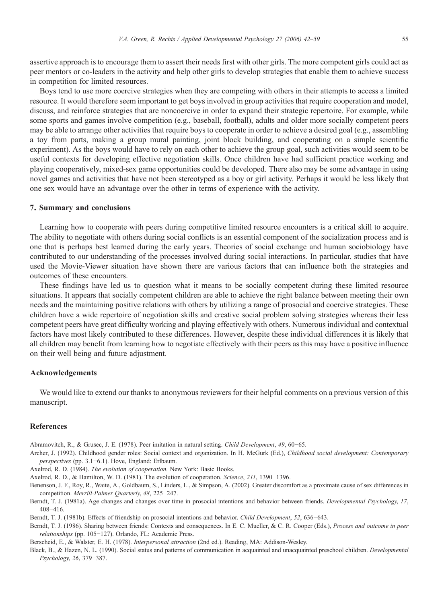<span id="page-13-0"></span>assertive approach is to encourage them to assert their needs first with other girls. The more competent girls could act as peer mentors or co-leaders in the activity and help other girls to develop strategies that enable them to achieve success in competition for limited resources.

Boys tend to use more coercive strategies when they are competing with others in their attempts to access a limited resource. It would therefore seem important to get boys involved in group activities that require cooperation and model, discuss, and reinforce strategies that are noncoercive in order to expand their strategic repertoire. For example, while some sports and games involve competition (e.g., baseball, football), adults and older more socially competent peers may be able to arrange other activities that require boys to cooperate in order to achieve a desired goal (e.g., assembling a toy from parts, making a group mural painting, joint block building, and cooperating on a simple scientific experiment). As the boys would have to rely on each other to achieve the group goal, such activities would seem to be useful contexts for developing effective negotiation skills. Once children have had sufficient practice working and playing cooperatively, mixed-sex game opportunities could be developed. There also may be some advantage in using novel games and activities that have not been stereotyped as a boy or girl activity. Perhaps it would be less likely that one sex would have an advantage over the other in terms of experience with the activity.

#### 7. Summary and conclusions

Learning how to cooperate with peers during competitive limited resource encounters is a critical skill to acquire. The ability to negotiate with others during social conflicts is an essential component of the socialization process and is one that is perhaps best learned during the early years. Theories of social exchange and human sociobiology have contributed to our understanding of the processes involved during social interactions. In particular, studies that have used the Movie-Viewer situation have shown there are various factors that can influence both the strategies and outcomes of these encounters.

These findings have led us to question what it means to be socially competent during these limited resource situations. It appears that socially competent children are able to achieve the right balance between meeting their own needs and the maintaining positive relations with others by utilizing a range of prosocial and coercive strategies. These children have a wide repertoire of negotiation skills and creative social problem solving strategies whereas their less competent peers have great difficulty working and playing effectively with others. Numerous individual and contextual factors have most likely contributed to these differences. However, despite these individual differences it is likely that all children may benefit from learning how to negotiate effectively with their peers as this may have a positive influence on their well being and future adjustment.

# Acknowledgements

We would like to extend our thanks to anonymous reviewers for their helpful comments on a previous version of this manuscript.

## **References**

Abramovitch, R., & Grusec, J. E. (1978). Peer imitation in natural setting. Child Development, 49, 60−65.

- Archer, J. (1992). Childhood gender roles: Social context and organization. In H. McGurk (Ed.), Childhood social development: Contemporary perspectives (pp. 3.1−6.1). Hove, England: Erlbaum.
- Axelrod, R. D. (1984). The evolution of cooperation. New York: Basic Books.
- Axelrod, R. D., & Hamilton, W. D. (1981). The evolution of cooperation. Science, 211, 1390−1396.
- Benenson, J. F., Roy, R., Waite, A., Goldbaum, S., Linders, L., & Simpson, A. (2002). Greater discomfort as a proximate cause of sex differences in competition. Merrill-Palmer Quarterly, 48, 225−247.
- Berndt, T. J. (1981a). Age changes and changes over time in prosocial intentions and behavior between friends. Developmental Psychology, 17, 408−416.
- Berndt, T. J. (1981b). Effects of friendship on prosocial intentions and behavior. Child Development, 52, 636−643.
- Berndt, T. J. (1986). Sharing between friends: Contexts and consequences. In E. C. Mueller, & C. R. Cooper (Eds.), Process and outcome in peer relationships (pp. 105−127). Orlando, FL: Academic Press.

Berscheid, E., & Walster, E. H. (1978). Interpersonal attraction (2nd ed.). Reading, MA: Addison-Wesley.

Black, B., & Hazen, N. L. (1990). Social status and patterns of communication in acquainted and unacquainted preschool children. Developmental Psychology, 26, 379−387.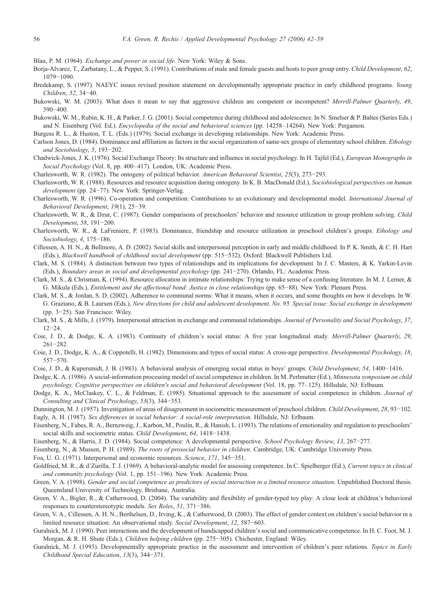<span id="page-14-0"></span>Blau, P. M. (1964). Exchange and power in social life. New York: Wiley & Sons.

- Borja-Alvarez, T., Zarbatany, L., & Pepper, S. (1991). Contributions of male and female guests and hosts to peer group entry. Child Development, 62, 1079−1090.
- Bredekamp, S. (1997). NAEYC issues revised position statement on developmentally appropriate practice in early childhood programs. Young Children, 52, 34−40.
- Bukowski, W. M. (2003). What does it mean to say that aggressive children are competent or incompetent? Merrill-Palmer Quarterly, 49, 390−400.
- Bukowski, W. M., Rubin, K. H., & Parker, J. G. (2001). Social competence during childhood and adolescence. In N. Smelser & P. Baltes (Series Eds.) and N. Eisenberg (Vol. Ed.). Encyclopedia of the social and behavioral sciences (pp. 14258–14264). New York: Pergamon.

Burgess R. L., & Huston, T. L. (Eds.) (1979). Social exchange in developing relationships. New York: Academic Press.

- Carlson Jones, D. (1984). Dominance and affiliation as factors in the social organization of same-sex groups of elementary school children. Ethology and Sociobiology, 5, 193−202.
- Chadwick-Jones, J. K. (1976). Social Exchange Theory: Its structure and influence in social psychology. In H. Tajfel (Ed.), European Monographs in Social Psychology (Vol. 8, pp. 400–417). London, UK: Academic Press.
- Charlesworth, W. R. (1982). The ontogeny of political behavior. American Behavioral Scientist, 25(3), 273−293.
- Charlesworth, W. R. (1988). Resources and resource acquisition during ontogeny. In K. B. MacDonald (Ed.), Sociobiological perspectives on human development (pp. 24−77). New York: Springer-Verlag.
- Charlesworth, W. R. (1996). Co-operation and competition: Contributions to an evolutionary and developmental model. International Journal of Behavioral Development, 19(1), 25−39.
- Charlesworth, W. R., & Dzur, C. (1987). Gender comparisons of preschoolers' behavior and resource utilization in group problem solving. Child Development, 58, 191−200.
- Charlesworth, W. R., & LaFreniere, P. (1983). Dominance, friendship and resource utilization in preschool children's groups. Ethology and Sociobiology, 4, 175−186.
- Cillessen, A. H. N., & Bellmore, A. D. (2002). Social skills and interpersonal perception in early and middle childhood. In P. K. Smith, & C. H. Hart (Eds.), Blackwell handbook of childhood social development (pp. 515−532). Oxford: Blackwell Publishers Ltd.
- Clark, M. S. (1984). A distinction between two types of relationships and its implications for development. In J. C. Masters, & K. Yarkin-Levin (Eds.), Boundary areas in social and developmental psychology (pp. 241−270). Orlando, FL: Academic Press.
- Clark, M. S., & Chrisman, K. (1994). Resource allocation in intimate relationships: Trying to make sense of a confusing literature. In M. J. Lerner, & G. Mikula (Eds.), Entitlement and the affectional bond: Justice in close relationships (pp. 65−88). New York: Plenum Press.
- Clark, M. S., & Jordan, S. D. (2002). Adherence to communal norms: What it means, when it occurs, and some thoughts on how it develops. In W. G. Graziano, & B. Laursen (Eds.), New directions for child and adolescent development, No. 95. Special issue: Social exchange in development (pp. 3−25). San Francisco: Wiley.
- Clark, M. S., & Mills, J. (1979). Interpersonal attraction in exchange and communal relationships. Journal of Personality and Social Psychology, 37, 12−24.
- Coie, J. D., & Dodge, K. A. (1983). Continuity of children's social status: A five year longitudinal study. Merrill-Palmer Quarterly, 29, 261−282.
- Coie, J. D., Dodge, K. A., & Coppotelli, H. (1982). Dimensions and types of social status: A cross-age perspective. Developmental Psychology, 18, 557−570.
- Coie, J. D., & Kupersmidt, J. B. (1983). A behavioral analysis of emerging social status in boys' groups. Child Development, 54, 1400−1416.
- Dodge, K. A. (1986). A social-information processing model of social competence in children. In M. Perlmutter (Ed.), Minnesota symposium on child psychology. Cognitive perspectives on children's social and behavioral development (Vol. 18, pp. 77–125). Hillsdale, NJ: Erlbaum.
- Dodge, K. A., McClaskey, C. L., & Feldman, E. (1985). Situational approach to the assessment of social competence in children. Journal of Consulting and Clinical Psychology, 53(3), 344−353.
- Dunnington, M. J. (1957). Investigation of areas of disagreement in sociometric measurement of preschool children. Child Development, 28, 93−102.
- Eagly, A. H. (1987). Sex differences in social behavior: A social-role interpretation. Hillsdale, NJ: Erlbaum.
- Eisenberg, N., Fabes, R. A., Bernzweig, J., Karbon, M., Poulin, R., & Hanish, L. (1993). The relations of emotionality and regulation to preschoolers' social skills and sociometric status. Child Development, 64, 1418−1438.
- Eisenberg, N., & Harris, J. D. (1984). Social competence: A developmental perspective. School Psychology Review, 13, 267−277.

Eisenberg, N., & Mussen, P. H. (1989). The roots of prosocial behavior in children. Cambridge, UK: Cambridge University Press.

Foa, U. G. (1971). Interpersonal and economic resources. Science, 171, 345−351.

- Goldfried, M. R., & d'Zurilla, T. J. (1969). A behavioral-analytic model for assessing competence. In C. Spielberger (Ed.), Current topics in clinical and community psychology (Vol. 1, pp. 151–196). New York: Academic Press.
- Green, V. A. (1998). Gender and social competence as predictors of social interaction in a limited resource situation. Unpublished Doctoral thesis. Queensland University of Technology, Brisbane, Australia.
- Green, V. A., Bigler, R., & Catherwood, D. (2004). The variability and flexibility of gender-typed toy play: A close look at children's behavioral responses to counterstereotypic models. Sex Roles, 51, 371−386.
- Green, V. A., Cillessen, A. H. N., Berthelsen, D., Irving, K., & Catherwood, D. (2003). The effect of gender context on children's social behavior in a limited resource situation: An observational study. Social Development, 12, 587−603.
- Guralnick, M. J. (1990). Peer interactions and the development of handicapped children's social and communicative competence. In H. C. Foot, M. J. Morgan, & R. H. Shute (Eds.), Children helping children (pp. 275−305). Chichester, England: Wiley.
- Guralnick, M. J. (1993). Developmentally appropriate practice in the assessment and intervention of children's peer relations. Topics in Early Childhood Special Education, 13(3), 344−371.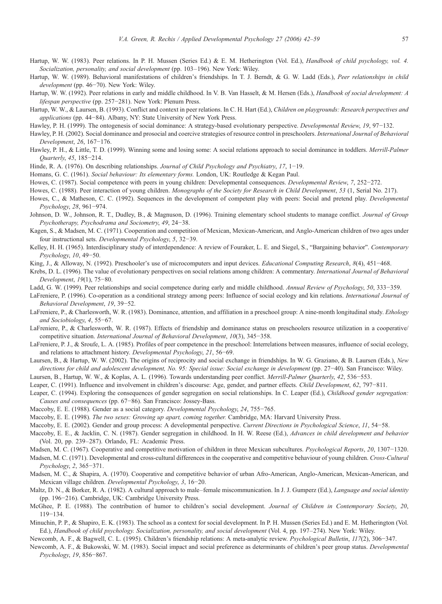- <span id="page-15-0"></span>Hartup, W. W. (1983). Peer relations. In P. H. Mussen (Series Ed.) & E. M. Hetherington (Vol. Ed.), Handbook of child psychology, vol. 4. Socialization, personality, and social development (pp. 103–196). New York: Wiley.
- Hartup, W. W. (1989). Behavioral manifestations of children's friendships. In T. J. Berndt, & G. W. Ladd (Eds.), Peer relationships in child development (pp. 46−70). New York: Wiley.
- Hartup, W. W. (1992). Peer relations in early and middle childhood. In V. B. Van Hasselt, & M. Hersen (Eds.), Handbook of social development: A lifespan perspective (pp. 257−281). New York: Plenum Press.
- Hartup, W. W., & Laursen, B. (1993). Conflict and context in peer relations. In C. H. Hart (Ed.), *Children on playgrounds: Research perspectives and* applications (pp. 44−84). Albany, NY: State University of New York Press.
- Hawley, P. H. (1999). The ontogenesis of social dominance: A strategy-based evolutionary perspective. Developmental Review, 19, 97−132.
- Hawley, P. H. (2002). Social dominance and prosocial and coercive strategies of resource control in preschoolers. International Journal of Behavioral Development, 26, 167−176.
- Hawley, P. H., & Little, T. D. (1999). Winning some and losing some: A social relations approach to social dominance in toddlers. Merrill-Palmer Quarterly, 45, 185−214.
- Hinde, R. A. (1976). On describing relationships. Journal of Child Psychology and Psychiatry, 17, 1−19.
- Homans, G. C. (1961). Social behaviour: Its elementary forms. London, UK: Routledge & Kegan Paul.
- Howes, C. (1987). Social competence with peers in young children: Developmental consequences. Developmental Review, 7, 252−272.
- Howes, C. (1988). Peer interaction of young children. Monographs of the Society for Research in Child Development, 53 (1, Serial No. 217).
- Howes, C., & Matheson, C. C. (1992). Sequences in the development of competent play with peers: Social and pretend play. Developmental Psychology, 28, 961−974.
- Johnson, D. W., Johnson, R. T., Dudley, B., & Magnuson, D. (1996). Training elementary school students to manage conflict. Journal of Group Psychotherapy, Psychodrama and Sociometry, 49, 24−38.
- Kagen, S., & Madsen, M. C. (1971). Cooperation and competition of Mexican, Mexican-American, and Anglo-American children of two ages under four instructional sets. Developmental Psychology, 5, 32−39.
- Kelley, H. H. (1965). Interdisciplinary study of interdependence: A review of Fouraker, L. E. and Siegel, S., "Bargaining behavior". Contemporary Psychology, 10, 49−50.
- King, J., & Alloway, N. (1992). Preschooler's use of microcomputers and input devices. Educational Computing Research, 8(4), 451−468.
- Krebs, D. L. (1996). The value of evolutionary perspectives on social relations among children: A commentary. International Journal of Behavioral Development, 19(1), 75−80.
- Ladd, G. W. (1999). Peer relationships and social competence during early and middle childhood. Annual Review of Psychology, 50, 333−359.
- LaFreniere, P. (1996). Co-operation as a conditional strategy among peers: Influence of social ecology and kin relations. *International Journal of* Behavioral Development, 19, 39−52.
- LaFreniere, P., & Charlesworth, W. R. (1983). Dominance, attention, and affiliation in a preschool group: A nine-month longitudinal study. *Ethology* and Sociobiology, 4, 55−67.
- LaFreniere, P., & Charlesworth, W. R. (1987). Effects of friendship and dominance status on preschoolers resource utilization in a cooperative/ competitive situation. International Journal of Behavioral Development, 10(3), 345−358.
- LaFreniere, P. J., & Sroufe, L. A. (1985). Profiles of peer competence in the preschool: Interrelations between measures, influence of social ecology, and relations to attachment history. Developmental Psychology, 21, 56−69.
- Laursen, B., & Hartup, W. W. (2002). The origins of reciprocity and social exchange in friendships. In W. G. Graziano, & B. Laursen (Eds.), New directions for child and adolescent development, No. 95: Special issue: Social exchange in development (pp. 27−40). San Francisco: Wiley.
- Laursen, B., Hartup, W. W., & Koplas, A. L. (1996). Towards understanding peer conflict. Merrill-Palmer Quarterly, 42, 536−553.
- Leaper, C. (1991). Influence and involvement in children's discourse: Age, gender, and partner effects. Child Development, 62, 797−811.
- Leaper, C. (1994). Exploring the consequences of gender segregation on social relationships. In C. Leaper (Ed.), Childhood gender segregation: Causes and consequences (pp. 67−86). San Francisco: Jossey-Bass.
- Maccoby, E. E. (1988). Gender as a social category. Developmental Psychology, 24, 755−765.
- Maccoby, E. E. (1998). The two sexes: Growing up apart, coming together. Cambridge, MA: Harvard University Press.
- Maccoby, E. E. (2002). Gender and group process: A developmental perspective. Current Directions in Psychological Science, 11, 54-58.
- Maccoby, E. E., & Jacklin, C. N. (1987). Gender segregation in childhood. In H. W. Reese (Ed.), Advances in child development and behavior (Vol. 20, pp. 239–287). Orlando, FL: Academic Press.
- Madsen, M. C. (1967). Cooperative and competitive motivation of children in three Mexican subcultures. Psychological Reports, 20, 1307−1320.
- Madsen, M. C. (1971). Developmental and cross-cultural differences in the cooperative and competitive behaviour of young children. Cross-Cultural Psychology, 2, 365−371.
- Madsen, M. C., & Shapira, A. (1970). Cooperative and competitive behavior of urban Afro-American, Anglo-American, Mexican-American, and Mexican village children. Developmental Psychology, 3, 16−20.
- Maltz, D. N., & Borker, R. A. (1982). A cultural approach to male–female miscommunication. In J. J. Gumperz (Ed.), Language and social identity (pp. 196−216). Cambridge, UK: Cambridge University Press.
- McGhee, P. E. (1988). The contribution of humor to children's social development. Journal of Children in Contemporary Society, 20, 119−134.
- Minuchin, P. P., & Shapiro, E. K. (1983). The school as a context for social development. In P. H. Mussen (Series Ed.) and E. M. Hetherington (Vol. Ed.), Handbook of child psychology. Socialization, personality, and social development (Vol. 4, pp. 197–274). New York: Wiley.
- Newcomb, A. F., & Bagwell, C. L. (1995). Children's friendship relations: A meta-analytic review. Psychological Bulletin, 117(2), 306−347.
- Newcomb, A. F., & Bukowski, W. M. (1983). Social impact and social preference as determinants of children's peer group status. Developmental Psychology, 19, 856−867.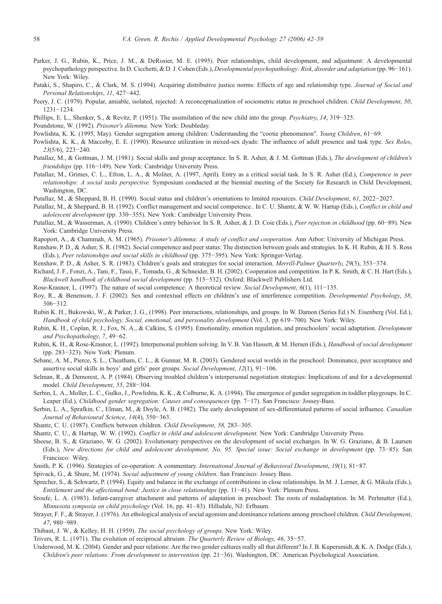- <span id="page-16-0"></span>Parker, J. G., Rubin, K., Price, J. M., & DeRosier, M. E. (1995). Peer relationships, child development, and adjustment: A developmental psychopathology perspective. In D. Cicchetti, & D. J. Cohen (Eds.), Developmental psychopathology: Risk, disorder and adaptation (pp. 96−161). New York: Wiley.
- Pataki, S., Shapiro, C., & Clark, M. S. (1994). Acquiring distributive justice norms: Effects of age and relationship type. Journal of Social and Personal Relationships, 11, 427−442.
- Peery, J. C. (1979). Popular, amiable, isolated, rejected: A reconceptualization of sociometric status in preschool children. Child Development, 50, 1231−1234.
- Phillips, E. L., Shenker, S., & Revitz, P. (1951). The assimilation of the new child into the group. Psychiatry, 14, 319−325.

Poundstone, W. (1992). Prisoner's dilemma. New York: Doubleday.

- Powlishta, K. K. (1995, May). Gender segregation among children: Understanding the "cootie phenomenon". Young Children, 61−69.
- Powlishta, K. K., & Maccoby, E. E. (1990). Resource utilization in mixed-sex dyads: The influence of adult presence and task type. Sex Roles, 23(5/6), 223−240.
- Putallaz, M., & Gottman, J. M. (1981). Social skills and group acceptance. In S. R. Asher, & J. M. Gottman (Eds.), The development of children's friendships (pp. 116−149). New York: Cambridge University Press.
- Putallaz, M., Grimes, C. L., Efron, L. A., & Moliter, A. (1997, April). Entry as a critical social task. In S. R. Asher (Ed.), Competence in peer relationships: A social tasks perspective. Symposium conducted at the biennial meeting of the Society for Research in Child Development, Washington, DC.
- Putallaz, M., & Sheppard, B. H. (1990). Social status and children's orientations to limited resources. Child Development, 61, 2022−2027.
- Putallaz, M., & Sheppard, B. H. (1992). Conflict management and social competence.. In C. U. Shantz, & W. W. Hartup (Eds.), Conflict in child and adolescent development (pp. 330−355). New York: Cambridge University Press.
- Putallaz, M., & Wasserman, A. (1990). Children's entry behavior. In S. R. Asher, & J. D. Coie (Eds.), Peer rejection in childhood (pp. 60−89). New York: Cambridge University Press.
- Rapoport, A., & Chammah, A. M. (1965). Prisoner's dilemma: A study of conflict and cooperation. Ann Arbor: University of Michigan Press.
- Renshaw, P. D., & Asher, S. R. (1982). Social competence and peer status: The distinction between goals and strategies. In K. H. Rubin, & H. S. Ross (Eds.), Peer relationships and social skills in childhood (pp. 375−395). New York: Springer-Verlag.
- Renshaw, P. D., & Asher, S. R. (1983). Children's goals and strategies for social interaction. Merrill-Palmer Quarterly, 29(3), 353−374.
- Richard, J. F., Fonzi, A., Tani, F., Tassi, F., Tomada, G., & Schneider, B. H. (2002). Cooperation and competition. In P. K. Smith, & C. H. Hart (Eds.), Blackwell handbook of childhood social development (pp. 515−532). Oxford: Blackwell Publishers Ltd.
- Rose-Krasnor, L. (1997). The nature of social competence: A theoretical review. Social Development, 6(1), 111−135.
- Roy, R., & Benenson, J. F. (2002). Sex and contextual effects on children's use of interference competition. Developmental Psychology, 38, 306−312.
- Rubin K. H., Bukowski, W., & Parker, J. G., (1998). Peer interactions, relationships, and groups. In W. Damon (Series Ed.) N. Eisenberg (Vol. Ed.), Handbook of child psychology. Social, emotional, and personality development (Vol. 3, pp 619–700). New York: Wiley.
- Rubin, K. H., Coplan, R. J., Fox, N. A., & Calkins, S. (1995). Emotionality, emotion regulation, and preschoolers' social adaptation. Development and Psychopathology, 7, 49−62.
- Rubin, K. H., & Rose-Krasnor, L. (1992). Interpersonal problem solving. In V. B. Van Hassett, & M. Hersen (Eds.), Handbook of social development (pp. 283−323). New York: Plenum.
- Sebanc, A. M., Pierce, S. L., Cheatham, C. L., & Gunnar, M. R. (2003). Gendered social worlds in the preschool: Dominance, peer acceptance and assertive social skills in boys' and girls' peer groups. Social Development, 12(1), 91−106.
- Selman, R., & Demorest, A. P. (1984). Observing troubled children's interpersonal negotiation strategies: Implications of and for a developmental model. Child Development, 55, 288−304.
- Serbin, L. A., Moller, L. C., Gulko, J., Powlishta, K. K., & Colburne, K. A. (1994). The emergence of gender segregation in toddler playgroups. In C. Leaper (Ed.), Childhood gender segregation: Causes and consequences (pp. 7−17). San Francisco: Jossey-Bass.
- Serbin, L. A., Sprafkin, C., Elman, M., & Doyle, A. B. (1982). The early development of sex-differentiated patterns of social influence. Canadian Journal of Behavioural Science, 14(4), 350−363.
- Shantz, C. U. (1987). Conflicts between children. Child Development, 58, 283–305.
- Shantz, C. U., & Hartup, W. W. (1992). Conflict in child and adolescent development. New York: Cambridge University Press.
- Sheese, B. S., & Graziano, W. G. (2002). Evolutionary perspectives on the development of social exchanges. In W. G. Graziano, & B. Laursen (Eds.), New directions for child and adolescent development, No. 95. Special issue: Social exchange in development (pp. 73−85). San Francisco: Wiley.
- Smith, P. K. (1996). Strategies of co-operation: A commentary. International Journal of Behavioral Development, 19(1), 81−87.
- Spivack, G., & Shure, M. (1974). Social adjustment of young children. San Francisco: Jossey Bass.
- Sprecher, S., & Schwartz, P. (1994). Equity and balance in the exchange of contributions in close relationships. In M. J. Lerner, & G. Mikula (Eds.), Entitlement and the affectional bond: Justice in close relationships (pp. 11−41). New York: Plenum Press.
- Sroufe, L. A. (1983). Infant-caregiver attachment and patterns of adaptation in preschool: The roots of maladaptation. In M. Perlmutter (Ed.), Minnesota symposia on child psychology (Vol. 16, pp. 41–83). Hillsdale, NJ: Erlbaum.
- Strayer, F. F., & Strayer, J. (1976). An ethological analysis of social agonism and dominance relations among preschool children. Child Development, 47, 980−989.
- Thibaut, J. W., & Kelley, H. H. (1959). The social psychology of groups. New York: Wiley.
- Trivers, R. L. (1971). The evolution of reciprocal altruism. The Quarterly Review of Biology, 46, 35−57.
- Underwood, M. K. (2004). Gender and peer relations: Are the two gender cultures really all that different? In J. B. Kupersmidt, & K. A. Dodge (Eds.), Children's peer relations: From development to intervention (pp. 21−36). Washington, DC: American Psychological Association.